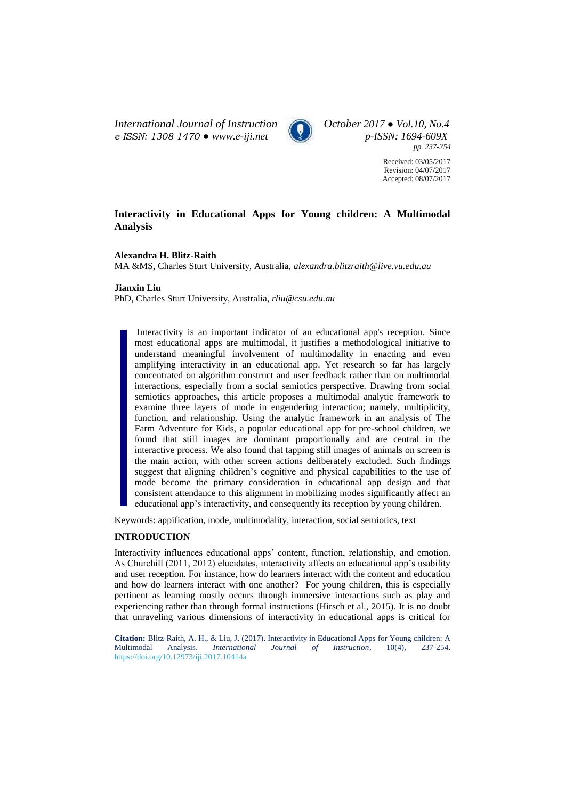*International Journal of Instruction October 2017 ● Vol.10, No.4 e-ISSN: 1308-1470 ● [www.e-iji.net](http://www.e-iji.net/) p-ISSN: 1694-609X*



*pp. 237-254*

Received: 03/05/2017 Revision: 04/07/2017 Accepted: 08/07/2017

# **Interactivity in Educational Apps for Young children: A Multimodal Analysis**

# **Alexandra H. Blitz-Raith**

MA &MS, Charles Sturt University, Australia, *alexandra.blitzraith@live.vu.edu.au*

# **Jianxin Liu**

PhD, Charles Sturt University, Australia, *[rliu@csu.edu.au](mailto:rliu@csu.edu.au)*

Interactivity is an important indicator of an educational app's reception. Since most educational apps are multimodal, it justifies a methodological initiative to understand meaningful involvement of multimodality in enacting and even amplifying interactivity in an educational app. Yet research so far has largely concentrated on algorithm construct and user feedback rather than on multimodal interactions, especially from a social semiotics perspective. Drawing from social semiotics approaches, this article proposes a multimodal analytic framework to examine three layers of mode in engendering interaction; namely, multiplicity, function, and relationship. Using the analytic framework in an analysis of The Farm Adventure for Kids, a popular educational app for pre-school children, we found that still images are dominant proportionally and are central in the interactive process. We also found that tapping still images of animals on screen is the main action, with other screen actions deliberately excluded. Such findings suggest that aligning children's cognitive and physical capabilities to the use of mode become the primary consideration in educational app design and that consistent attendance to this alignment in mobilizing modes significantly affect an educational app's interactivity, and consequently its reception by young children.

Keywords: appification, mode, multimodality, interaction, social semiotics, text

### **INTRODUCTION**

Interactivity influences educational apps' content, function, relationship, and emotion. As Churchill (2011, 2012) elucidates, interactivity affects an educational app's usability and user reception. For instance, how do learners interact with the content and education and how do learners interact with one another? For young children, this is especially pertinent as learning mostly occurs through immersive interactions such as play and experiencing rather than through formal instructions (Hirsch et al., 2015). It is no doubt that unraveling various dimensions of interactivity in educational apps is critical for

**Citation:** Blitz-Raith, A. H., & Liu, J. (2017). Interactivity in Educational Apps for Young children: A Multimodal Analysis. *International Journal of Instruction*, 10(4), 237-254. *Journal of Instruction*, 10(4), 237-254. <https://doi.org/10.12973/iji.2017.10414a>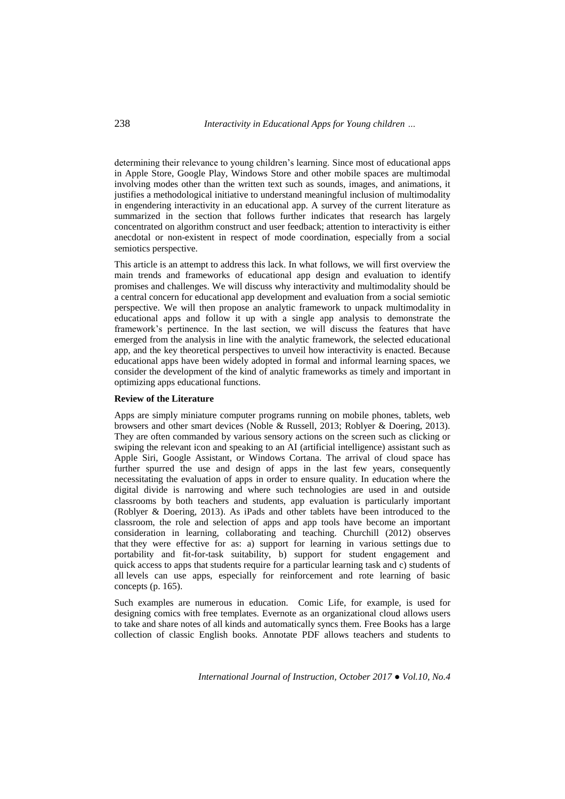determining their relevance to young children's learning. Since most of educational apps in Apple Store, Google Play, Windows Store and other mobile spaces are multimodal involving modes other than the written text such as sounds, images, and animations, it justifies a methodological initiative to understand meaningful inclusion of multimodality in engendering interactivity in an educational app. A survey of the current literature as summarized in the section that follows further indicates that research has largely concentrated on algorithm construct and user feedback; attention to interactivity is either anecdotal or non-existent in respect of mode coordination, especially from a social semiotics perspective.

This article is an attempt to address this lack. In what follows, we will first overview the main trends and frameworks of educational app design and evaluation to identify promises and challenges. We will discuss why interactivity and multimodality should be a central concern for educational app development and evaluation from a social semiotic perspective. We will then propose an analytic framework to unpack multimodality in educational apps and follow it up with a single app analysis to demonstrate the framework's pertinence. In the last section, we will discuss the features that have emerged from the analysis in line with the analytic framework, the selected educational app, and the key theoretical perspectives to unveil how interactivity is enacted. Because educational apps have been widely adopted in formal and informal learning spaces, we consider the development of the kind of analytic frameworks as timely and important in optimizing apps educational functions.

## **Review of the Literature**

Apps are simply miniature computer programs running on mobile phones, tablets, web browsers and other smart devices (Noble & Russell, 2013; Roblyer & Doering, 2013). They are often commanded by various sensory actions on the screen such as clicking or swiping the relevant icon and speaking to an AI (artificial intelligence) assistant such as Apple Siri, Google Assistant, or Windows Cortana. The arrival of cloud space has further spurred the use and design of apps in the last few years, consequently necessitating the evaluation of apps in order to ensure quality. In education where the digital divide is narrowing and where such technologies are used in and outside classrooms by both teachers and students, app evaluation is particularly important (Roblyer & Doering, 2013). As iPads and other tablets have been introduced to the classroom, the role and selection of apps and app tools have become an important consideration in learning, collaborating and teaching. Churchill (2012) observes that they were effective for as: a) support for learning in various settings due to portability and fit-for-task suitability, b) support for student engagement and quick access to apps that students require for a particular learning task and c) students of all levels can use apps, especially for reinforcement and rote learning of basic concepts (p. 165).

Such examples are numerous in education. [Comic Life,](http://comiclife.com/) for example, is used for designing comics with free templates. [Evernote](https://evernote.com/) as an organizational cloud allows users to take and share notes of all kinds and automatically syncs them. [Free Books](https://itunes.apple.com/au/app/free-books-ultimate-classics-library/id364612911?mt=8) has a large collection of classic English books. [Annotate PDF](https://www.pdfannotator.com/en/) allows teachers and students to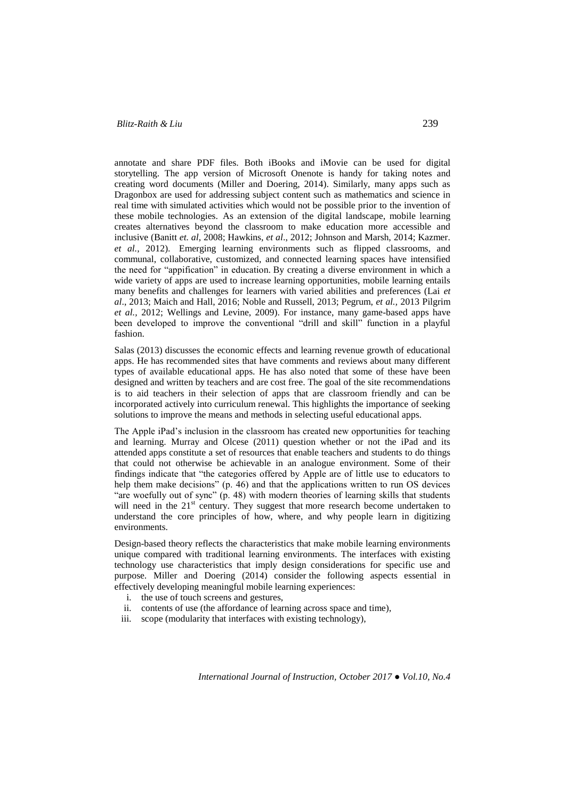# *Blitz-Raith & Liu* 239

annotate and share PDF files. Both [iBooks](https://itunes.apple.com/au/app/ibooks/id364709193?mt=8) and [iMovie](https://itunes.apple.com/au/app/imovie/id377298193?mt=8) can be used for digital storytelling. The app version of Microsoft Onenote is handy for taking notes and creating word documents (Miller and Doering, 2014). Similarly, many apps such as [Dragonbox](http://dragonbox.com/) are used for addressing subject content such as mathematics and science in real time with simulated activities which would not be possible prior to the invention of these mobile technologies. As an extension of the digital landscape, mobile learning creates alternatives beyond the classroom to make education more accessible and inclusive (Banitt *et. al*, 2008; Hawkins, *et al*., 2012; Johnson and Marsh, 2014; Kazmer*. et al.,* 2012). Emerging learning environments such as flipped classrooms, and communal, collaborative, customized, and connected learning spaces have intensified the need for "appification" in education. By creating a diverse environment in which a wide variety of apps are used to increase learning opportunities, mobile learning entails many benefits and challenges for learners with varied abilities and preferences (Lai *et al*., 2013; Maich and Hall, 2016; Noble and Russell, 2013; Pegrum, *et al.,* 2013 Pilgrim *et al.,* 2012; Wellings and Levine, 2009). For instance, many game-based apps have been developed to improve the conventional "drill and skill" function in a playful fashion.

Salas (2013) discusses the economic effects and learning revenue growth of educational apps. He has recommended sites that have comments and reviews about many different types of available educational apps. He has also noted that some of these have been designed and written by teachers and are cost free. The goal of the site recommendations is to aid teachers in their selection of apps that are classroom friendly and can be incorporated actively into curriculum renewal. This highlights the importance of seeking solutions to improve the means and methods in selecting useful educational apps.

The Apple iPad's inclusion in the classroom has created new opportunities for teaching and learning. Murray and Olcese (2011) question whether or not the iPad and its attended apps constitute a set of resources that enable teachers and students to do things that could not otherwise be achievable in an analogue environment. Some of their findings indicate that "the categories offered by Apple are of little use to educators to help them make decisions" (p. 46) and that the applications written to run OS devices "are woefully out of sync" (p. 48) with modern theories of learning skills that students will need in the  $21<sup>st</sup>$  century. They suggest that more research become undertaken to understand the core principles of how, where, and why people learn in digitizing environments.

Design-based theory reflects the characteristics that make mobile learning environments unique compared with traditional learning environments. The interfaces with existing technology use characteristics that imply design considerations for specific use and purpose. Miller and Doering (2014) consider the following aspects essential in effectively developing meaningful mobile learning experiences:

- i. the use of touch screens and gestures,
- ii. contents of use (the affordance of learning across space and time),
- iii. scope (modularity that interfaces with existing technology),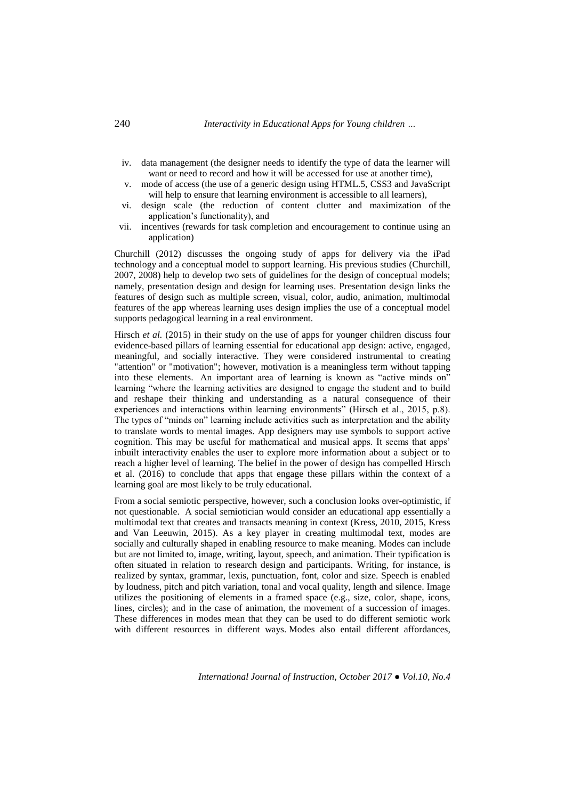- iv. data management (the designer needs to identify the type of data the learner will want or need to record and how it will be accessed for use at another time).
- v. mode of access (the use of a generic design using HTML.5, CSS3 and JavaScript will help to ensure that learning environment is accessible to all learners),
- vi. design scale (the reduction of content clutter and maximization of the application's functionality), and
- vii. incentives (rewards for task completion and encouragement to continue using an application)

Churchill (2012) discusses the ongoing study of apps for delivery via the iPad technology and a conceptual model to support learning. His previous studies (Churchill, 2007, 2008) help to develop two sets of guidelines for the design of conceptual models; namely, presentation design and design for learning uses. Presentation design links the features of design such as multiple screen, visual, color, audio, animation, multimodal features of the app whereas learning uses design implies the use of a conceptual model supports pedagogical learning in a real environment.

Hirsch *et al.* (2015) in their study on the use of apps for younger children discuss four evidence-based pillars of learning essential for educational app design: active, engaged, meaningful, and socially interactive. They were considered instrumental to creating "attention" or "motivation"; however, motivation is a meaningless term without tapping into these elements. An important area of learning is known as "active minds on" learning "where the learning activities are designed to engage the student and to build and reshape their thinking and understanding as a natural consequence of their experiences and interactions within learning environments" (Hirsch et al., 2015, p.8). The types of "minds on" learning include activities such as interpretation and the ability to translate words to mental images. App designers may use symbols to support active cognition. This may be useful for mathematical and musical apps. It seems that apps' inbuilt interactivity enables the user to explore more information about a subject or to reach a higher level of learning. The belief in the power of design has compelled Hirsch et al. (2016) to conclude that apps that engage these pillars within the context of a learning goal are most likely to be truly educational.

From a social semiotic perspective, however, such a conclusion looks over-optimistic, if not questionable. A social semiotician would consider an educational app essentially a multimodal text that creates and transacts meaning in context (Kress, 2010, 2015, Kress and Van Leeuwin, 2015). As a key player in creating multimodal text, modes are socially and culturally shaped in enabling resource to make meaning. Modes can include but are not limited to, image, writing, layout, speech, and animation. Their typification is often situated in relation to research design and participants. Writing, for instance, is realized by syntax, grammar, lexis, punctuation, font, color and size. Speech is enabled by loudness, pitch and pitch variation, tonal and vocal quality, length and silence. Image utilizes the positioning of elements in a framed space (e.g., size, color, shape, icons, lines, circles); and in the case of animation, the movement of a succession of images. These differences in modes mean that they can be used to do different semiotic work with different resources in different ways. Modes also entail different affordances,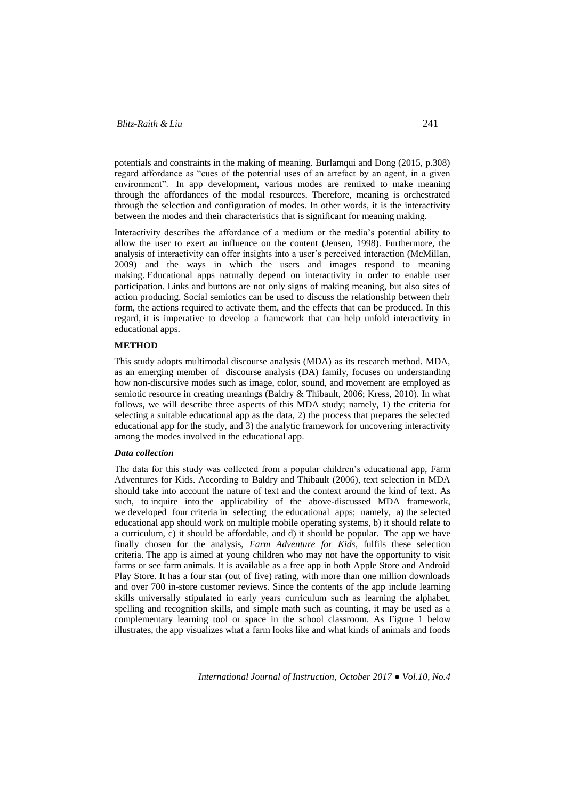potentials and constraints in the making of meaning. Burlamqui and Dong (2015, p.308) regard affordance as "cues of the potential uses of an artefact by an agent, in a given environment". In app development, various modes are remixed to make meaning through the affordances of the modal resources. Therefore, meaning is orchestrated through the selection and configuration of modes. In other words, it is the interactivity between the modes and their characteristics that is significant for meaning making.

Interactivity describes the affordance of a medium or the media's potential ability to allow the user to exert an influence on the content (Jensen, 1998). Furthermore, the analysis of interactivity can offer insights into a user's perceived interaction (McMillan, 2009) and the ways in which the users and images respond to meaning making. Educational apps naturally depend on interactivity in order to enable user participation. Links and buttons are not only signs of making meaning, but also sites of action producing. Social semiotics can be used to discuss the relationship between their form, the actions required to activate them, and the effects that can be produced. In this regard, it is imperative to develop a framework that can help unfold interactivity in educational apps.

#### **METHOD**

This study adopts multimodal discourse analysis (MDA) as its research method. MDA, as an emerging member of discourse analysis (DA) family, focuses on understanding how non-discursive modes such as image, color, sound, and movement are employed as semiotic resource in creating meanings (Baldry & Thibault, 2006; Kress, 2010). In what follows, we will describe three aspects of this MDA study; namely, 1) the criteria for selecting a suitable educational app as the data, 2) the process that prepares the selected educational app for the study, and 3) the analytic framework for uncovering interactivity among the modes involved in the educational app.

# *Data collection*

The data for this study was collected from a popular children's educational app, Farm Adventures for Kids. According to Baldry and Thibault (2006), text selection in MDA should take into account the nature of text and the context around the kind of text. As such, to inquire into the applicability of the above-discussed MDA framework, we developed four criteria in selecting the educational apps; namely, a) the selected educational app should work on multiple mobile operating systems, b) it should relate to a curriculum, c) it should be affordable, and d) it should be popular. The app we have finally chosen for the analysis, *Farm Adventure for Kids*, fulfils these selection criteria. The app is aimed at young children who may not have the opportunity to visit farms or see farm animals. It is available as a free app in both Apple Store and Android Play Store. It has a four star (out of five) rating, with more than one million downloads and over 700 in-store customer reviews. Since the contents of the app include learning skills universally stipulated in early years curriculum such as learning the alphabet, spelling and recognition skills, and simple math such as counting, it may be used as a complementary learning tool or space in the school classroom. As Figure 1 below illustrates, the app visualizes what a farm looks like and what kinds of animals and foods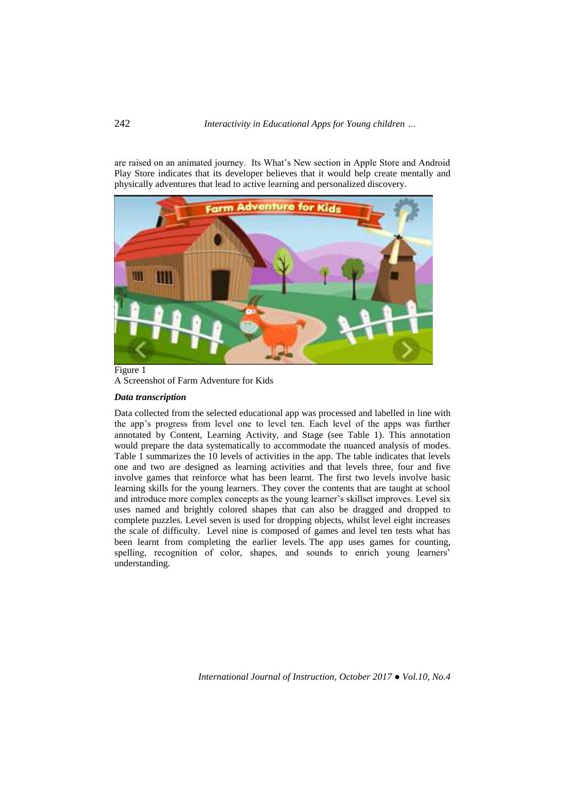are raised on an animated journey. Its What's New section in Apple Store and Android Play Store indicates that its developer believes that it would help create mentally and physically adventures that lead to active learning and personalized discovery.



Figure 1 A Screenshot of Farm Adventure for Kids

### *Data transcription*

Data collected from the selected educational app was processed and labelled in line with the app's progress from level one to level ten. Each level of the apps was further annotated by Content, Learning Activity, and Stage (see Table 1). This annotation would prepare the data systematically to accommodate the nuanced analysis of modes. Table 1 summarizes the 10 levels of activities in the app. The table indicates that levels one and two are designed as learning activities and that levels three, four and five involve games that reinforce what has been learnt. The first two levels involve basic learning skills for the young learners. They cover the contents that are taught at school and introduce more complex concepts as the young learner's skillset improves. Level six uses named and brightly colored shapes that can also be dragged and dropped to complete puzzles. Level seven is used for dropping objects, whilst level eight increases the scale of difficulty. Level nine is composed of games and level ten tests what has been learnt from completing the earlier levels. The app uses games for counting, spelling, recognition of color, shapes, and sounds to enrich young learners' understanding.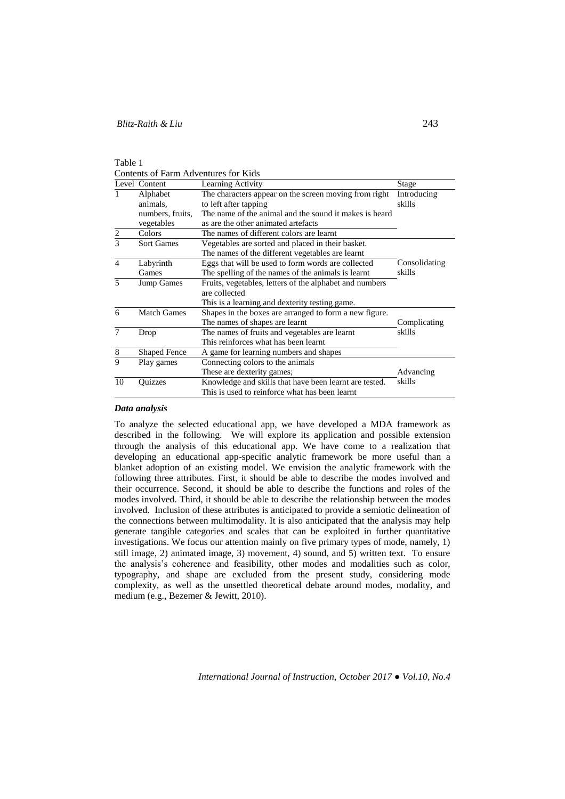Table 1

Contents of Farm Adventures for Kids

|                | Level Content                                         | Learning Activity                                       | Stage         |
|----------------|-------------------------------------------------------|---------------------------------------------------------|---------------|
|                | Alphabet                                              | The characters appear on the screen moving from right   | Introducing   |
|                | animals,                                              | to left after tapping                                   | skills        |
|                | numbers, fruits,                                      | The name of the animal and the sound it makes is heard  |               |
|                | vegetables                                            | as are the other animated artefacts                     |               |
| $rac{2}{3}$    | Colors                                                | The names of different colors are learnt                |               |
|                | <b>Sort Games</b>                                     | Vegetables are sorted and placed in their basket.       |               |
|                |                                                       | The names of the different vegetables are learnt        |               |
| $\overline{4}$ | Labyrinth                                             | Eggs that will be used to form words are collected      | Consolidating |
|                | Games                                                 | The spelling of the names of the animals is learnt      | skills        |
| $\overline{5}$ | Jump Games                                            | Fruits, vegetables, letters of the alphabet and numbers |               |
|                |                                                       | are collected                                           |               |
|                |                                                       | This is a learning and dexterity testing game.          |               |
| 6              | <b>Match Games</b>                                    | Shapes in the boxes are arranged to form a new figure.  |               |
|                |                                                       | The names of shapes are learnt                          | Complicating  |
| $\tau$         | The names of fruits and vegetables are learnt<br>Drop |                                                         | skills        |
|                |                                                       | This reinforces what has been learnt                    |               |
| 8              | <b>Shaped Fence</b>                                   | A game for learning numbers and shapes                  |               |
| 9              | Play games                                            | Connecting colors to the animals                        |               |
|                |                                                       | These are dexterity games;                              | Advancing     |
| 10             | Quizzes                                               | Knowledge and skills that have been learnt are tested.  | skills        |
|                |                                                       | This is used to reinforce what has been learnt          |               |

### *Data analysis*

To analyze the selected educational app, we have developed a MDA framework as described in the following. We will explore its application and possible extension through the analysis of this educational app. We have come to a realization that developing an educational app-specific analytic framework be more useful than a blanket adoption of an existing model. We envision the analytic framework with the following three attributes. First, it should be able to describe the modes involved and their occurrence. Second, it should be able to describe the functions and roles of the modes involved. Third, it should be able to describe the relationship between the modes involved. Inclusion of these attributes is anticipated to provide a semiotic delineation of the connections between multimodality. It is also anticipated that the analysis may help generate tangible categories and scales that can be exploited in further quantitative investigations. We focus our attention mainly on five primary types of mode, namely, 1) still image, 2) animated image, 3) movement, 4) sound, and 5) written text. To ensure the analysis's coherence and feasibility, other modes and modalities such as color, typography, and shape are excluded from the present study, considering mode complexity, as well as the unsettled theoretical debate around modes, modality, and medium (e.g., Bezemer & Jewitt, 2010).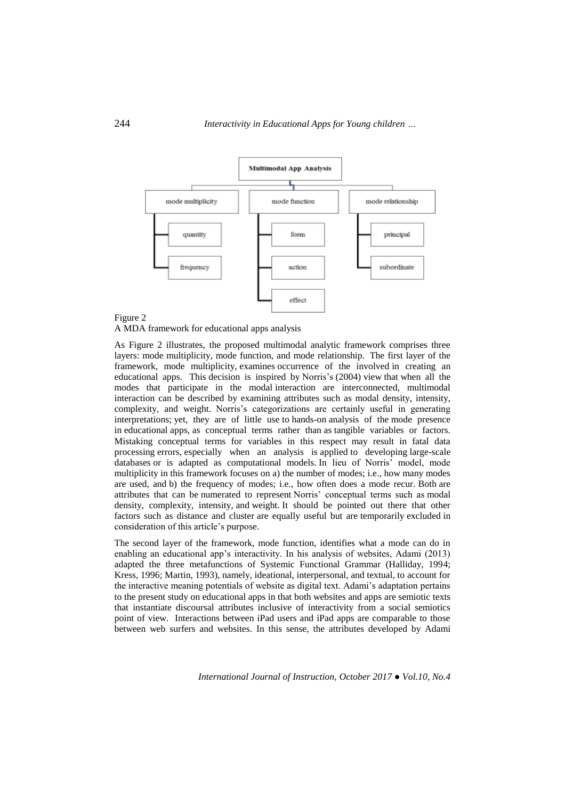

# Figure 2

A MDA framework for educational apps analysis

As Figure 2 illustrates, the proposed multimodal analytic framework comprises three layers: mode multiplicity, mode function, and mode relationship. The first layer of the framework, mode multiplicity, examines occurrence of the involved in creating an educational apps. This decision is inspired by Norris's (2004) view that when all the modes that participate in the modal interaction are interconnected, multimodal interaction can be described by examining attributes such as modal density, intensity, complexity, and weight. Norris's categorizations are certainly useful in generating interpretations; yet, they are of little use to hands-on analysis of the mode presence in educational apps, as conceptual terms rather than as tangible variables or factors. Mistaking conceptual terms for variables in this respect may result in fatal data processing errors, especially when an analysis is applied to developing large-scale databases or is adapted as computational models. In lieu of Norris' model, mode multiplicity in this framework focuses on a) the number of modes; i.e., how many modes are used, and b) the frequency of modes; i.e., how often does a mode recur. Both are attributes that can be numerated to represent Norris' conceptual terms such as modal density, complexity, intensity, and weight. It should be pointed out there that other factors such as distance and cluster are equally useful but are temporarily excluded in consideration of this article's purpose.

The second layer of the framework, mode function, identifies what a mode can do in enabling an educational app's interactivity. In his analysis of websites, Adami (2013) adapted the three metafunctions of Systemic Functional Grammar (Halliday, 1994; Kress, 1996; Martin, 1993), namely, ideational, interpersonal, and textual, to account for the interactive meaning potentials of website as digital text. Adami's adaptation pertains to the present study on educational apps in that both websites and apps are semiotic texts that instantiate discoursal attributes inclusive of interactivity from a social semiotics point of view. Interactions between iPad users and iPad apps are comparable to those between web surfers and websites. In this sense, the attributes developed by Adami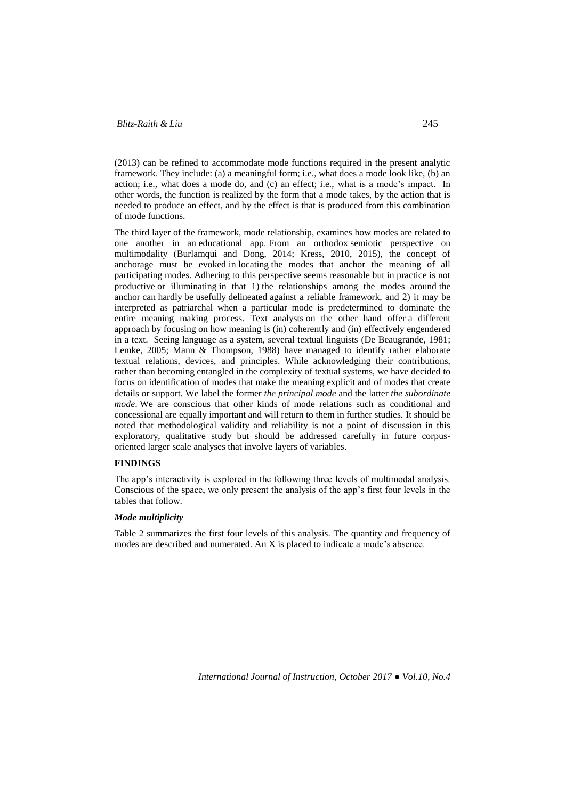# *Blitz-Raith & Liu* 245

(2013) can be refined to accommodate mode functions required in the present analytic framework. They include: (a) a meaningful form; i.e., what does a mode look like, (b) an action; i.e., what does a mode do, and (c) an effect; i.e., what is a mode's impact. In other words, the function is realized by the form that a mode takes, by the action that is needed to produce an effect, and by the effect is that is produced from this combination of mode functions.

The third layer of the framework, mode relationship, examines how modes are related to one another in an educational app. From an orthodox semiotic perspective on multimodality (Burlamqui and Dong, 2014; Kress, 2010, 2015), the concept of anchorage must be evoked in locating the modes that anchor the meaning of all participating modes. Adhering to this perspective seems reasonable but in practice is not productive or illuminating in that 1) the relationships among the modes around the anchor can hardly be usefully delineated against a reliable framework, and 2) it may be interpreted as patriarchal when a particular mode is predetermined to dominate the entire meaning making process. Text analysts on the other hand offer a different approach by focusing on how meaning is (in) coherently and (in) effectively engendered in a text. Seeing language as a system, several textual linguists (De Beaugrande, 1981; Lemke, 2005; Mann & Thompson, 1988) have managed to identify rather elaborate textual relations, devices, and principles. While acknowledging their contributions, rather than becoming entangled in the complexity of textual systems, we have decided to focus on identification of modes that make the meaning explicit and of modes that create details or support. We label the former *the principal mode* and the latter *the subordinate mode*. We are conscious that other kinds of mode relations such as conditional and concessional are equally important and will return to them in further studies. It should be noted that methodological validity and reliability is not a point of discussion in this exploratory, qualitative study but should be addressed carefully in future corpusoriented larger scale analyses that involve layers of variables.

### **FINDINGS**

The app's interactivity is explored in the following three levels of multimodal analysis. Conscious of the space, we only present the analysis of the app's first four levels in the tables that follow.

# *Mode multiplicity*

Table 2 summarizes the first four levels of this analysis. The quantity and frequency of modes are described and numerated. An X is placed to indicate a mode's absence.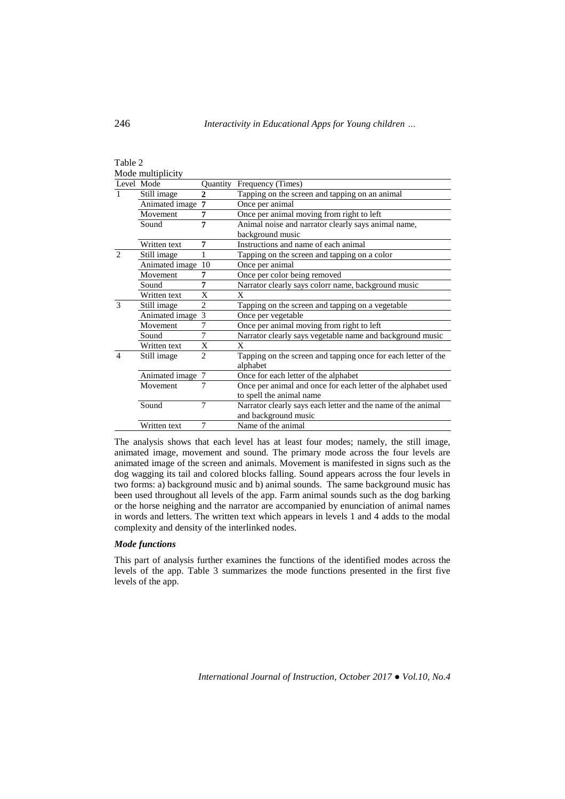| Table 2        |                   |                |                                                                           |  |
|----------------|-------------------|----------------|---------------------------------------------------------------------------|--|
|                | Mode multiplicity |                |                                                                           |  |
|                | Level Mode        | Quantity       | Frequency (Times)                                                         |  |
| $\mathbf{1}$   | Still image       | $\overline{c}$ | Tapping on the screen and tapping on an animal                            |  |
|                | Animated image    | $\overline{7}$ | Once per animal                                                           |  |
|                | Movement          | 7              | Once per animal moving from right to left                                 |  |
|                | Sound             | 7              | Animal noise and narrator clearly says animal name,                       |  |
|                |                   |                | background music                                                          |  |
|                | Written text      | 7              | Instructions and name of each animal                                      |  |
| $\overline{2}$ | Still image       | 1              | Tapping on the screen and tapping on a color                              |  |
|                | Animated image    | 10             | Once per animal                                                           |  |
|                | Movement          | 7              | Once per color being removed                                              |  |
|                | Sound             | 7              | Narrator clearly says colorr name, background music                       |  |
|                | Written text      | X              | X                                                                         |  |
| $\mathcal{R}$  | Still image       | $\mathfrak{D}$ | Tapping on the screen and tapping on a vegetable                          |  |
|                | Animated image 3  |                | Once per vegetable                                                        |  |
|                | Movement          | 7              | Once per animal moving from right to left                                 |  |
|                | Sound             | 7              | Narrator clearly says vegetable name and background music                 |  |
|                | Written text      | X              | X                                                                         |  |
| $\overline{4}$ | Still image       | $\overline{2}$ | Tapping on the screen and tapping once for each letter of the<br>alphabet |  |
|                | Animated image 7  |                | Once for each letter of the alphabet                                      |  |
|                | Movement          | 7              | Once per animal and once for each letter of the alphabet used             |  |
|                |                   |                | to spell the animal name                                                  |  |
|                | Sound             | $\overline{7}$ | Narrator clearly says each letter and the name of the animal              |  |
|                |                   |                | and background music                                                      |  |
|                | Written text      | 7              | Name of the animal                                                        |  |

The analysis shows that each level has at least four modes; namely, the still image, animated image, movement and sound. The primary mode across the four levels are animated image of the screen and animals. Movement is manifested in signs such as the dog wagging its tail and colored blocks falling. Sound appears across the four levels in two forms: a) background music and b) animal sounds. The same background music has been used throughout all levels of the app. Farm animal sounds such as the dog barking or the horse neighing and the narrator are accompanied by enunciation of animal names in words and letters. The written text which appears in levels 1 and 4 adds to the modal complexity and density of the interlinked nodes.

## *Mode functions*

This part of analysis further examines the functions of the identified modes across the levels of the app. Table 3 summarizes the mode functions presented in the first five levels of the app.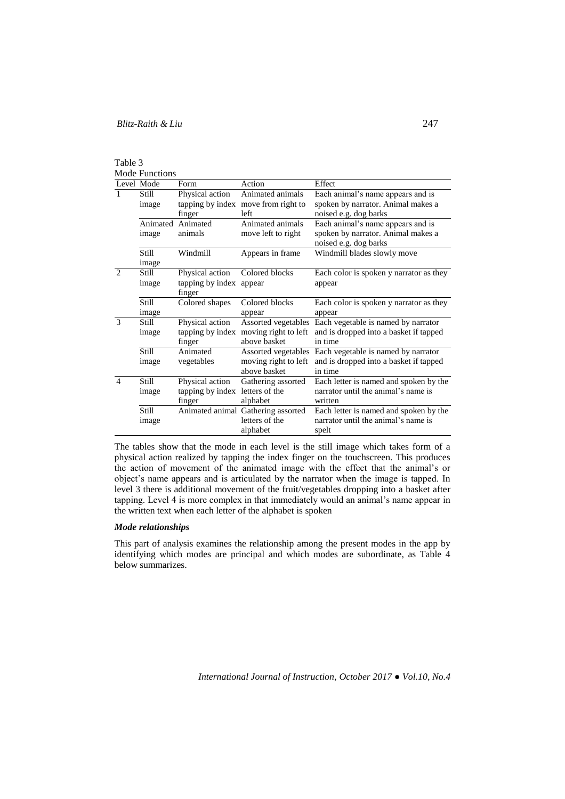| ante |  |  |
|------|--|--|
|      |  |  |

Mode Functions

|                             | Level Mode     | Form             | Action                                                  | Effect                                                                  |
|-----------------------------|----------------|------------------|---------------------------------------------------------|-------------------------------------------------------------------------|
|                             | Still<br>image | Physical action  | Animated animals<br>tapping by index move from right to | Each animal's name appears and is<br>spoken by narrator. Animal makes a |
|                             |                | finger           | left                                                    | noised e.g. dog barks                                                   |
|                             | Animated       | Animated         | Animated animals                                        | Each animal's name appears and is                                       |
|                             | image          | animals          | move left to right                                      | spoken by narrator. Animal makes a                                      |
|                             |                |                  |                                                         | noised e.g. dog barks                                                   |
|                             | <b>Still</b>   | Windmill         | Appears in frame                                        | Windmill blades slowly move                                             |
|                             | <i>image</i>   |                  |                                                         |                                                                         |
| $\mathcal{D}_{\mathcal{L}}$ | Still          | Physical action  | Colored blocks                                          | Each color is spoken y narrator as they                                 |
|                             | image          | tapping by index | appear                                                  | appear                                                                  |
|                             |                | finger           |                                                         |                                                                         |
|                             | Still          | Colored shapes   | Colored blocks                                          | Each color is spoken y narrator as they                                 |
|                             | image          |                  | appear                                                  | appear                                                                  |
| $\mathcal{R}$               | Still          | Physical action  | Assorted vegetables                                     | Each vegetable is named by narrator                                     |
|                             | image          | tapping by index | moving right to left                                    | and is dropped into a basket if tapped                                  |
|                             |                | finger           | above basket                                            | in time                                                                 |
|                             | Still          | Animated         | Assorted vegetables                                     | Each vegetable is named by narrator                                     |
|                             | image          | vegetables       | moving right to left                                    | and is dropped into a basket if tapped                                  |
|                             |                |                  | above basket                                            | in time                                                                 |
| $\overline{4}$              | Still          | Physical action  | Gathering assorted                                      | Each letter is named and spoken by the                                  |
|                             | image          | tapping by index | letters of the                                          | narrator until the animal's name is                                     |
|                             |                | finger           | alphabet                                                | written                                                                 |
|                             | Still          |                  | Animated animal Gathering assorted                      | Each letter is named and spoken by the                                  |
|                             | image          |                  | letters of the                                          | narrator until the animal's name is                                     |
|                             |                |                  | alphabet                                                | spelt                                                                   |

The tables show that the mode in each level is the still image which takes form of a physical action realized by tapping the index finger on the touchscreen. This produces the action of movement of the animated image with the effect that the animal's or object's name appears and is articulated by the narrator when the image is tapped. In level 3 there is additional movement of the fruit/vegetables dropping into a basket after tapping. Level 4 is more complex in that immediately would an animal's name appear in the written text when each letter of the alphabet is spoken

# *Mode relationships*

This part of analysis examines the relationship among the present modes in the app by identifying which modes are principal and which modes are subordinate, as Table 4 below summarizes.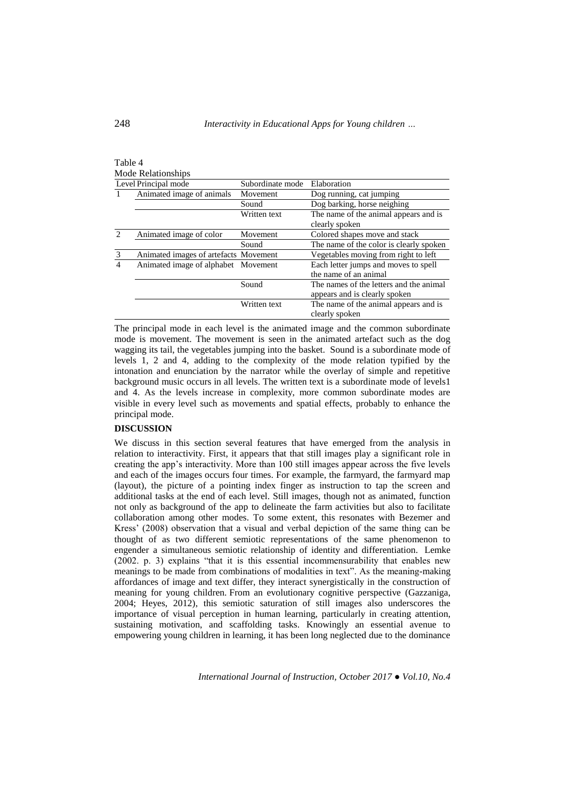|                             | Mode Relationships                    |                  |                                         |
|-----------------------------|---------------------------------------|------------------|-----------------------------------------|
|                             | Level Principal mode                  | Subordinate mode | Elaboration                             |
|                             | Animated image of animals             | Movement         | Dog running, cat jumping                |
|                             |                                       | Sound            | Dog barking, horse neighing             |
|                             |                                       | Written text     | The name of the animal appears and is   |
|                             |                                       |                  | clearly spoken                          |
| $\mathcal{D}_{\mathcal{A}}$ | Animated image of color               | Movement         | Colored shapes move and stack           |
|                             |                                       | Sound            | The name of the color is clearly spoken |
| 3                           | Animated images of artefacts Movement |                  | Vegetables moving from right to left    |
| 4                           | Animated image of alphabet Movement   |                  | Each letter jumps and moves to spell    |
|                             |                                       |                  | the name of an animal                   |
|                             |                                       | Sound            | The names of the letters and the animal |
|                             |                                       |                  | appears and is clearly spoken           |
|                             |                                       | Written text     | The name of the animal appears and is   |
|                             |                                       |                  | clearly spoken                          |

The principal mode in each level is the animated image and the common subordinate mode is movement. The movement is seen in the animated artefact such as the dog wagging its tail, the vegetables jumping into the basket. Sound is a subordinate mode of levels 1, 2 and 4, adding to the complexity of the mode relation typified by the intonation and enunciation by the narrator while the overlay of simple and repetitive background music occurs in all levels. The written text is a subordinate mode of levels1 and 4. As the levels increase in complexity, more common subordinate modes are visible in every level such as movements and spatial effects, probably to enhance the principal mode.

#### **DISCUSSION**

We discuss in this section several features that have emerged from the analysis in relation to interactivity. First, it appears that that still images play a significant role in creating the app's interactivity. More than 100 still images appear across the five levels and each of the images occurs four times. For example, the farmyard, the farmyard map (layout), the picture of a pointing index finger as instruction to tap the screen and additional tasks at the end of each level. Still images, though not as animated, function not only as background of the app to delineate the farm activities but also to facilitate collaboration among other modes. To some extent, this resonates with Bezemer and Kress' (2008) observation that a visual and verbal depiction of the same thing can be thought of as two different semiotic representations of the same phenomenon to engender a simultaneous semiotic relationship of identity and differentiation. Lemke (2002. p. 3) explains "that it is this essential incommensurability that enables new meanings to be made from combinations of modalities in text". As the meaning-making affordances of image and text differ, they interact synergistically in the construction of meaning for young children. From an evolutionary cognitive perspective (Gazzaniga, 2004; Heyes, 2012), this semiotic saturation of still images also underscores the importance of visual perception in human learning, particularly in creating attention, sustaining motivation, and scaffolding tasks. Knowingly an essential avenue to empowering young children in learning, it has been long neglected due to the dominance

*International Journal of Instruction, October 2017 ● Vol.10, No.4*

Table 4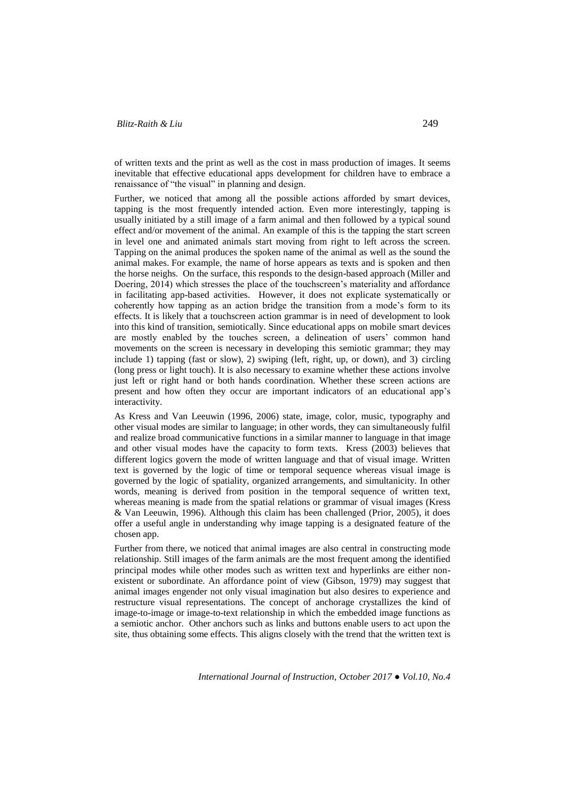# *Blitz-Raith & Liu* 249

of written texts and the print as well as the cost in mass production of images. It seems inevitable that effective educational apps development for children have to embrace a renaissance of "the visual" in planning and design.

Further, we noticed that among all the possible actions afforded by smart devices, tapping is the most frequently intended action. Even more interestingly, tapping is usually initiated by a still image of a farm animal and then followed by a typical sound effect and/or movement of the animal. An example of this is the tapping the start screen in level one and animated animals start moving from right to left across the screen. Tapping on the animal produces the spoken name of the animal as well as the sound the animal makes. For example, the name of horse appears as texts and is spoken and then the horse neighs. On the surface, this responds to the design-based approach (Miller and Doering, 2014) which stresses the place of the touchscreen's materiality and affordance in facilitating app-based activities. However, it does not explicate systematically or coherently how tapping as an action bridge the transition from a mode's form to its effects. It is likely that a touchscreen action grammar is in need of development to look into this kind of transition, semiotically. Since educational apps on mobile smart devices are mostly enabled by the touches screen, a delineation of users' common hand movements on the screen is necessary in developing this semiotic grammar; they may include 1) tapping (fast or slow), 2) swiping (left, right, up, or down), and 3) circling (long press or light touch). It is also necessary to examine whether these actions involve just left or right hand or both hands coordination. Whether these screen actions are present and how often they occur are important indicators of an educational app's interactivity.

As Kress and Van Leeuwin (1996, 2006) state, image, color, music, typography and other visual modes are similar to language; in other words, they can simultaneously fulfil and realize broad communicative functions in a similar manner to language in that image and other visual modes have the capacity to form texts. Kress (2003) believes that different logics govern the mode of written language and that of visual image. Written text is governed by the logic of time or temporal sequence whereas visual image is governed by the logic of spatiality, organized arrangements, and simultanicity. In other words, meaning is derived from position in the temporal sequence of written text, whereas meaning is made from the spatial relations or grammar of visual images (Kress & Van Leeuwin, 1996). Although this claim has been challenged (Prior, 2005), it does offer a useful angle in understanding why image tapping is a designated feature of the chosen app.

Further from there, we noticed that animal images are also central in constructing mode relationship. Still images of the farm animals are the most frequent among the identified principal modes while other modes such as written text and hyperlinks are either nonexistent or subordinate. An affordance point of view (Gibson, 1979) may suggest that animal images engender not only visual imagination but also desires to experience and restructure visual representations. The concept of anchorage crystallizes the kind of image-to-image or image-to-text relationship in which the embedded image functions as a semiotic anchor. Other anchors such as links and buttons enable users to act upon the site, thus obtaining some effects. This aligns closely with the trend that the written text is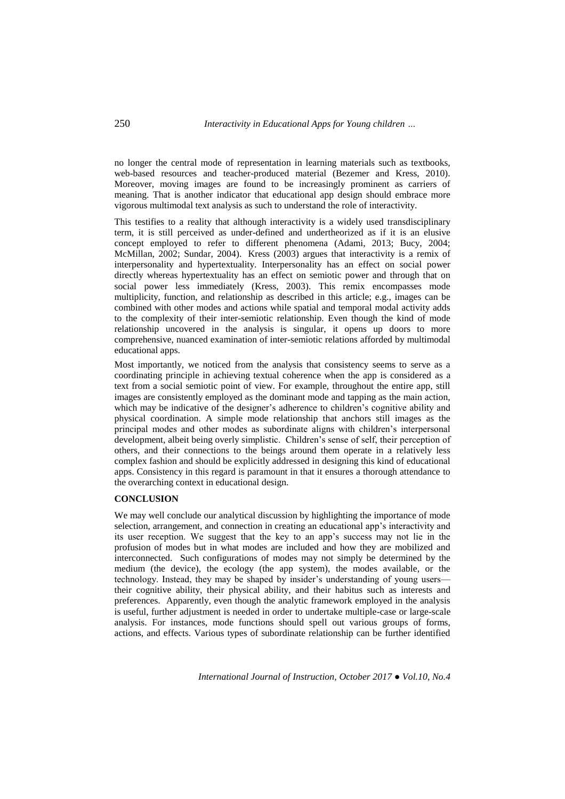no longer the central mode of representation in learning materials such as textbooks, web-based resources and teacher-produced material (Bezemer and Kress, 2010). Moreover, moving images are found to be increasingly prominent as carriers of meaning. That is another indicator that educational app design should embrace more vigorous multimodal text analysis as such to understand the role of interactivity.

This testifies to a reality that although interactivity is a widely used transdisciplinary term, it is still perceived as under-defined and undertheorized as if it is an elusive concept employed to refer to different phenomena (Adami, 2013; Bucy, 2004; McMillan, 2002; Sundar, 2004). Kress (2003) argues that interactivity is a remix of interpersonality and hypertextuality. Interpersonality has an effect on social power directly whereas hypertextuality has an effect on semiotic power and through that on social power less immediately (Kress, 2003). This remix encompasses mode multiplicity, function, and relationship as described in this article; e.g., images can be combined with other modes and actions while spatial and temporal modal activity adds to the complexity of their inter-semiotic relationship. Even though the kind of mode relationship uncovered in the analysis is singular, it opens up doors to more comprehensive, nuanced examination of inter-semiotic relations afforded by multimodal educational apps.

Most importantly, we noticed from the analysis that consistency seems to serve as a coordinating principle in achieving textual coherence when the app is considered as a text from a social semiotic point of view. For example, throughout the entire app, still images are consistently employed as the dominant mode and tapping as the main action, which may be indicative of the designer's adherence to children's cognitive ability and physical coordination. A simple mode relationship that anchors still images as the principal modes and other modes as subordinate aligns with children's interpersonal development, albeit being overly simplistic. Children's sense of self, their perception of others, and their connections to the beings around them operate in a relatively less complex fashion and should be explicitly addressed in designing this kind of educational apps. Consistency in this regard is paramount in that it ensures a thorough attendance to the overarching context in educational design.

# **CONCLUSION**

We may well conclude our analytical discussion by highlighting the importance of mode selection, arrangement, and connection in creating an educational app's interactivity and its user reception. We suggest that the key to an app's success may not lie in the profusion of modes but in what modes are included and how they are mobilized and interconnected. Such configurations of modes may not simply be determined by the medium (the device), the ecology (the app system), the modes available, or the technology. Instead, they may be shaped by insider's understanding of young users their cognitive ability, their physical ability, and their habitus such as interests and preferences. Apparently, even though the analytic framework employed in the analysis is useful, further adjustment is needed in order to undertake multiple-case or large-scale analysis. For instances, mode functions should spell out various groups of forms, actions, and effects. Various types of subordinate relationship can be further identified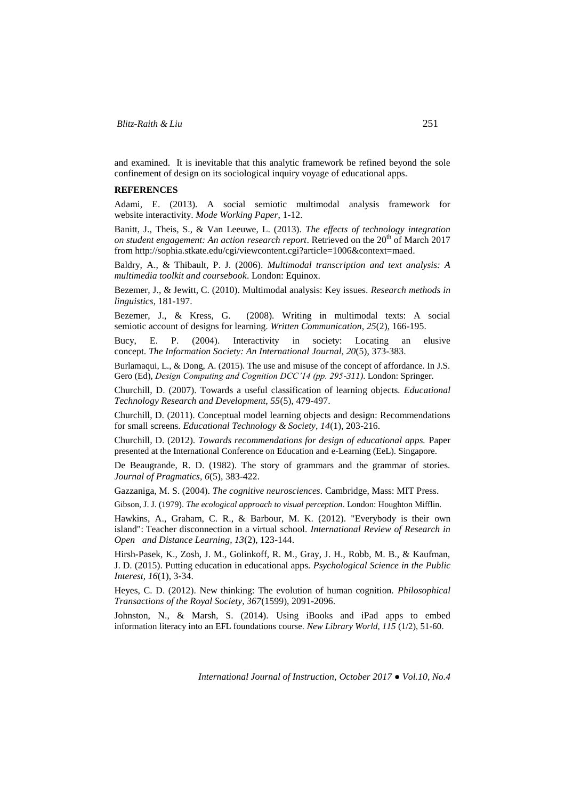and examined. It is inevitable that this analytic framework be refined beyond the sole confinement of design on its sociological inquiry voyage of educational apps.

### **REFERENCES**

Adami, E. (2013). A social semiotic multimodal analysis framework for website interactivity. *Mode Working Paper*, 1-12.

Banitt, J., Theis, S., & Van Leeuwe, L. (2013). *The effects of technology integration on student engagement: An action research report.* Retrieved on the 20<sup>th</sup> of March 2017 from [http://sophia.stkate.edu/cgi/viewcontent.cgi?article=1006&context=maed.](http://sophia.stkate.edu/cgi/viewcontent.cgi?article=1006&context=maed)

Baldry, A., & Thibault, P. J. (2006). *Multimodal transcription and text analysis: A multimedia toolkit and coursebook*. London: Equinox.

Bezemer, J., & Jewitt, C. (2010). Multimodal analysis: Key issues. *Research methods in linguistics*, 181-197.

Bezemer, J., & Kress, G. (2008). Writing in multimodal texts: A social semiotic account of designs for learning. *Written Communication, 25*(2), 166-195.

Bucy, E. P. (2004). Interactivity in society: Locating an elusive concept. *The Information Society: An International Journal, 20*(5), 373-383.

Burlamaqui, L., & Dong, A. (2015). The use and misuse of the concept of affordance. In J.S. Gero (Ed), *Design Computing and Cognition DCC'14 (pp. 295-311)*. London: Springer.

Churchill, D. (2007). Towards a useful classification of learning objects*. Educational Technology Research and Development, 55*(5), 479-497.

Churchill, D. (2011). Conceptual model learning objects and design: Recommendations for small screens. *Educational Technology & Society, 14*(1), 203-216.

Churchill, D. (2012). *Towards recommendations for design of educational apps.* Paper presented at the International Conference on Education and e-Learning (EeL). Singapore.

De Beaugrande, R. D. (1982). The story of grammars and the grammar of stories. *Journal of Pragmatics, 6*(5), 383-422.

Gazzaniga, M. S. (2004). *The cognitive neurosciences.* Cambridge, Mass: MIT Press.

Gibson, J. J. (1979). *The ecological approach to visual perception*. London: Houghton Mifflin.

Hawkins, A., Graham, C. R., & Barbour, M. K. (2012). "Everybody is their own island": Teacher disconnection in a virtual school. *International Review of Research in Open and Distance Learning, 13*(2), 123-144.

Hirsh-Pasek, K., Zosh, J. M., Golinkoff, R. M., Gray, J. H., Robb, M. B., & Kaufman, J. D. (2015). Putting education in educational apps. *Psychological Science in the Public Interest, 16*(1), 3-34.

Heyes, C. D. (2012). New thinking: The evolution of human cognition. *Philosophical Transactions of the Royal Society, 367*(1599), 2091-2096.

Johnston, N., & Marsh, S. (2014). Using iBooks and iPad apps to embed information literacy into an EFL foundations course. *New Library World, 115* (1/2), 51-60.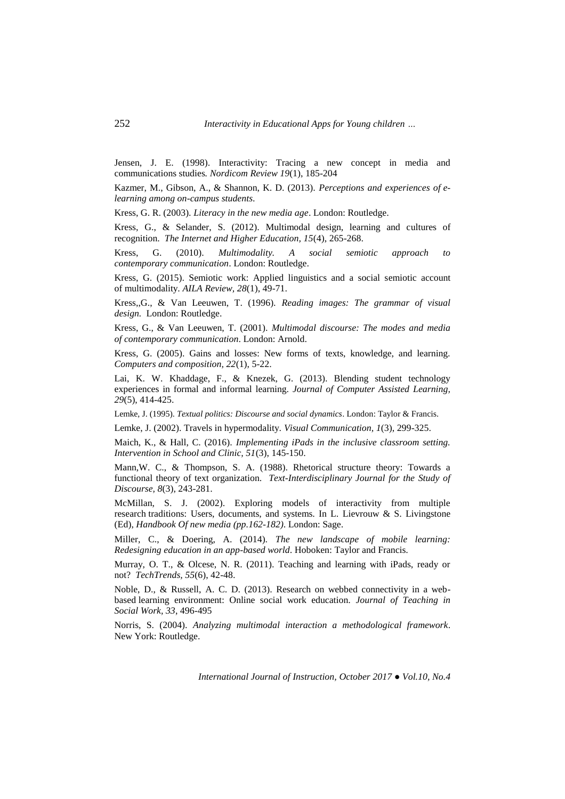Jensen, J. E. (1998). Interactivity: Tracing a new concept in media and communications studies*. Nordicom Review 19*(1), 185-204

Kazmer, M., Gibson, A., & Shannon, K. D. (2013). *Perceptions and experiences of elearning among on-campus students*.

Kress, G. R. (2003). *Literacy in the new media age*. London: Routledge.

Kress, G., & Selander, S. (2012). Multimodal design, learning and cultures of recognition. *The Internet and Higher Education, 15*(4), 265-268.

Kress, G. (2010). *Multimodality. A social semiotic approach to contemporary communication*. London: Routledge.

Kress, G. (2015). Semiotic work: Applied linguistics and a social semiotic account of multimodality. *AILA Review, 28*(1), 49-71.

Kress,,G., & Van Leeuwen, T. (1996). *Reading images: The grammar of visual design.* London: Routledge.

Kress, G., & Van Leeuwen, T. (2001). *Multimodal discourse: The modes and media of contemporary communication*. London: Arnold.

Kress, G. (2005). Gains and losses: New forms of texts, knowledge, and learning. *Computers and composition, 22*(1), 5-22.

Lai, K. W. Khaddage, F., & Knezek, G. (2013). Blending student technology experiences in formal and informal learning. *Journal of Computer Assisted Learning, 29*(5), 414-425.

Lemke, J. (1995). *Textual politics: Discourse and social dynamics*. London: Taylor & Francis.

Lemke, J. (2002). Travels in hypermodality. *Visual Communication, 1*(3), 299-325.

Maich, K., & Hall, C. (2016). *Implementing iPads in the inclusive classroom setting. Intervention in School and Clinic, 51*(3), 145-150.

Mann,W. C., & Thompson, S. A. (1988). Rhetorical structure theory: Towards a functional theory of text organization. *Text-Interdisciplinary Journal for the Study of Discourse, 8*(3), 243-281.

McMillan, S. J. (2002). Exploring models of interactivity from multiple research traditions: Users, documents, and systems. In L. Lievrouw & S. Livingstone (Ed), *Handbook Of new media (pp.162-182)*. London: Sage.

Miller, C., & Doering, A. (2014). *The new landscape of mobile learning: Redesigning education in an app-based world*. Hoboken: Taylor and Francis.

Murray, O. T., & Olcese, N. R. (2011). Teaching and learning with iPads, ready or not? *TechTrends, 55*(6), 42-48.

Noble, D., & Russell, A. C. D. (2013). Research on webbed connectivity in a webbased learning environment: Online social work education. *Journal of Teaching in Social Work, 33*, 496-495

Norris, S. (2004). *Analyzing multimodal interaction a methodological framework*. New York: Routledge.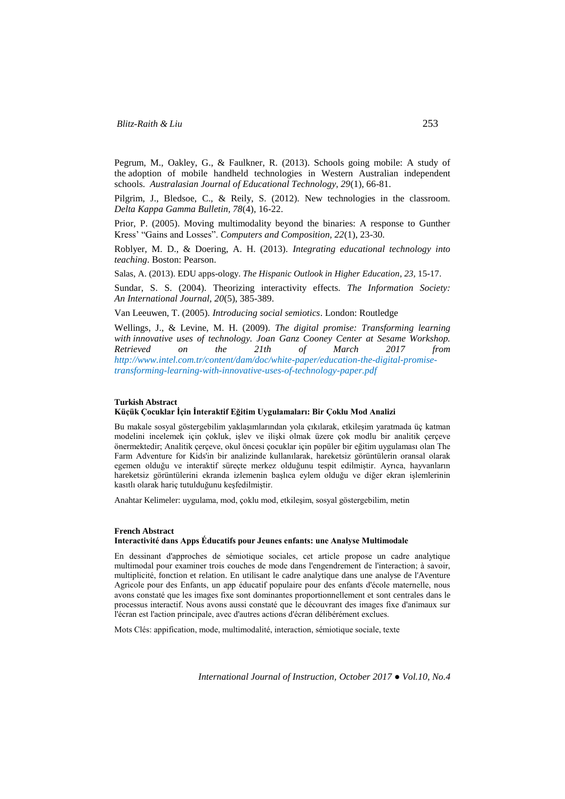Pegrum, M., Oakley, G., & Faulkner, R. (2013). Schools going mobile: A study of the adoption of mobile handheld technologies in Western Australian independent schools. *Australasian Journal of Educational Technology, 29*(1), 66-81.

Pilgrim, J., Bledsoe, C., & Reily, S. (2012). New technologies in the classroom. *Delta Kappa Gamma Bulletin, 78*(4), 16-22.

Prior, P. (2005). Moving multimodality beyond the binaries: A response to Gunther Kress' "Gains and Losses". *Computers and Composition, 22*(1), 23-30.

Roblyer, M. D., & Doering, A. H. (2013). *Integrating educational technology into teaching*. Boston: Pearson.

Salas, A. (2013). EDU apps-ology. *The Hispanic Outlook in Higher Education, 23,* 15-17.

Sundar, S. S. (2004). Theorizing interactivity effects. *The Information Society: An International Journal, 20*(5), 385-389.

Van Leeuwen, T. (2005). *Introducing social semiotics*. London: Routledge

Wellings, J., & Levine, M. H. (2009). *The digital promise: Transforming learning with innovative uses of technology. Joan Ganz Cooney Center at Sesame Workshop. Retrieved on the 21th of March 2017 from [http://www.intel.com.tr/content/dam/doc/white-paper/education-the-digital-promise](http://www.intel.com.tr/content/dam/doc/white-paper/education-the-digital-promise-transforming-learning-with-innovative-uses-of-technology-paper.pdf)[transforming-learning-with-innovative-uses-of-technology-paper.pdf](http://www.intel.com.tr/content/dam/doc/white-paper/education-the-digital-promise-transforming-learning-with-innovative-uses-of-technology-paper.pdf)*

#### **Turkish Abstract**

### **Küçük Çocuklar İçin İnteraktif Eğitim Uygulamaları: Bir Çoklu Mod Analizi**

Bu makale sosyal göstergebilim yaklaşımlarından yola çıkılarak, etkileşim yaratmada üç katman modelini incelemek için çokluk, işlev ve ilişki olmak üzere çok modlu bir analitik çerçeve önermektedir; Analitik çerçeve, okul öncesi çocuklar için popüler bir eğitim uygulaması olan The Farm Adventure for Kids'in bir analizinde kullanılarak, hareketsiz görüntülerin oransal olarak egemen olduğu ve interaktif süreçte merkez olduğunu tespit edilmiştir. Ayrıca, hayvanların hareketsiz görüntülerini ekranda izlemenin başlıca eylem olduğu ve diğer ekran işlemlerinin kasıtlı olarak hariç tutulduğunu keşfedilmiştir.

Anahtar Kelimeler: uygulama, mod, çoklu mod, etkileşim, sosyal göstergebilim, metin

#### **French Abstract Interactivité dans Apps Éducatifs pour Jeunes enfants: une Analyse Multimodale**

En dessinant d'approches de sémiotique sociales, cet article propose un cadre analytique multimodal pour examiner trois couches de mode dans l'engendrement de l'interaction; à savoir, multiplicité, fonction et relation. En utilisant le cadre analytique dans une analyse de l'Aventure Agricole pour des Enfants, un app éducatif populaire pour des enfants d'école maternelle, nous avons constaté que les images fixe sont dominantes proportionnellement et sont centrales dans le processus interactif. Nous avons aussi constaté que le découvrant des images fixe d'animaux sur l'écran est l'action principale, avec d'autres actions d'écran délibérément exclues.

Mots Clés: appification, mode, multimodalité, interaction, sémiotique sociale, texte